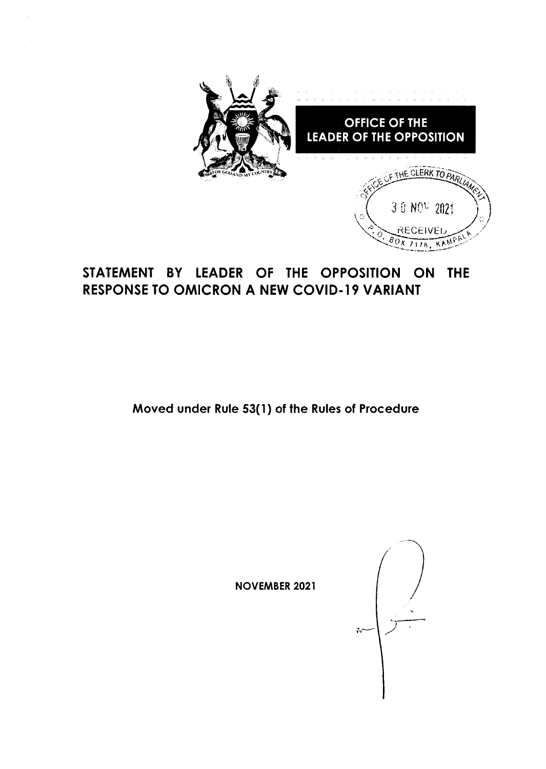

# STATEMENT BY LEADER OF THE OPPOSITION ON THE **RESPONSE TO OMICRON A NEW COVID-19 VARIANT**

Moved under Rule 53(1) of the Rules of Procedure

**NOVEMBER 2021** 

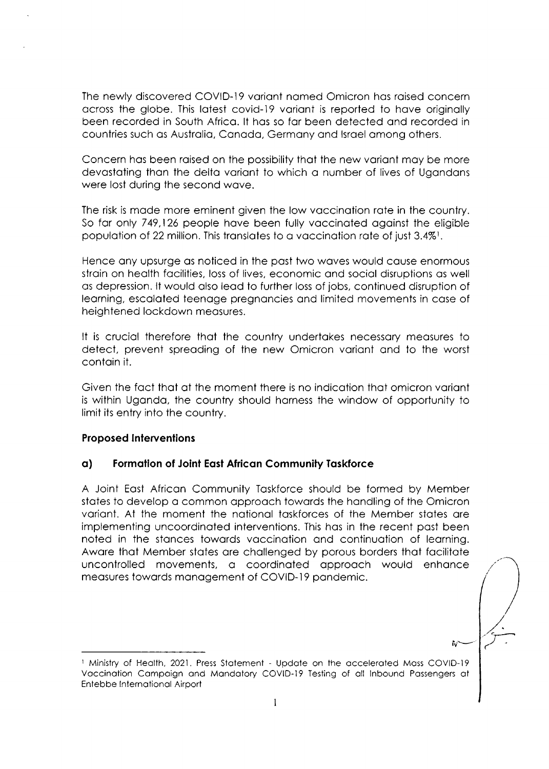The newly discovered COVID-19 variant named Omicron has raised concern across the globe. This latest covid-19 variant is reported to have originally been recorded in South Africo. lt hos so for been detected ond recorded in countries such os Austrolio. Conodo, Germony ond lsroel omong others.

Concern has been raised on the possibility that the new variant may be more devostoting thon the delto voriont to which o number of lives of Ugondons were lost during the second wove.

The risk is made more eminent given the low vaccination rate in the country. So far only 749,126 people have been fully vaccinated against the eligible population of 22 million. This translates to a vaccination rate of just 3.4%<sup>1</sup>.

Hence ony upsurge os noticed in the post two woves would couse enormous strain on health facilities, loss of lives, economic and social disruptions as well os depression. lt would olso leod to further loss of jobs, continued disruption of leorning, escoloted teenoge pregnoncies ond limited movements in cose of heightened lockdown meosures.

It is cruciol therefore thot the country undertokes necessory meosures to detect, prevent spreading of the new Omicron variant and to the worst contoin it.

Given the foct thot of the moment there is no indicotion thot omicron voriont is within Ugondo, the country should horness the window of opportunity to limit its entry into the country.

### Proposed lntervenlions

### o) Formotion of Joint Eqsl Africon Community Toskforce

A Joint Eost Africon Community Toskforce should be formed by Member states to develop a common approach towards the handling of the Omicron voriont. At the moment the notionol toskforces of the Member stotes ore implementing uncoordinoted interventions. This hos in the recent post been noted in the stonces towords voccinotion ond continuotion of leorning. Awore thot Member stotes ore chollenged by porous borders thot focilitote uncontrolled movements, a coordinated approach would enhance measures towards management of COVID-19 pandemic.

iv $\overline{\mathbf{w}}$ 

<sup>&</sup>lt;sup>1</sup> Ministry of Health, 2021. Press Statement - Update on the accelerated Mass COVID-19 Voccinotion Compoign ond Mondotory COVID-I9 Testing of oll lnbound Possengers ot Entebbe lnternotionol Airport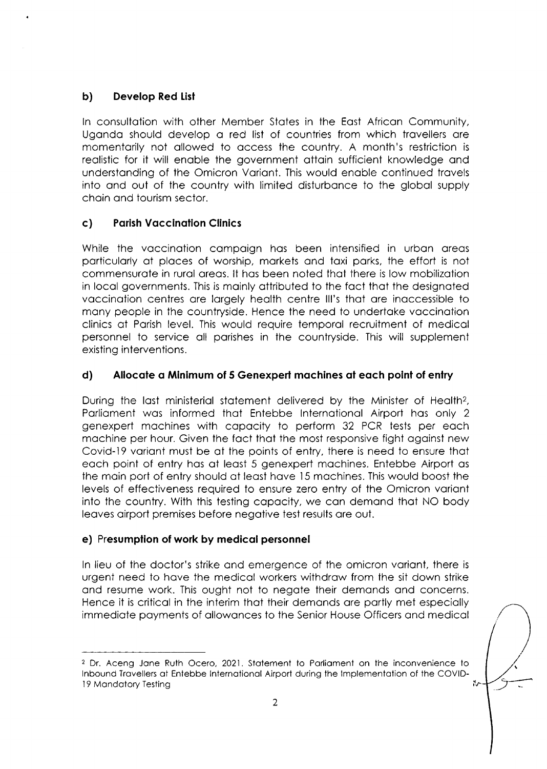# b) Develop Red List

In consultation with other Member States in the East African Community, Uganda should develop a red list of countries from which travellers are momentorily not ollowed to occess the country. A month's restriction is realistic for it will enable the government attain sufficient knowledge and understanding of the Omicron Variant. This would enable continued travels into ond out of the country with limited disturbonce to the globol supply choin ond tourism sector.

# c) Porish Voccinotion Clinics

While the vaccination campaign has been intensified in urban areas porticulorly of ploces of worship, morkets ond toxi porks, the effort is not commensurote in rurol oreos. lt hos been noted thot there is low mobilizotion in locol governments. This is moinly ottributed to the foct thot the designoted vaccination centres are largely health centre III's that are inaccessible to mony people in the countryside. Hence the need to undertoke voccinotion clinics of Porish level. This would require temporol recruitment of medicol personnel to service oll porishes in the countryside. This will supplement existing interventions.

# d) Allocate a Minimum of 5 Genexpert machines at each point of entry

During the last ministerial statement delivered by the Minister of Health?, Porlioment wos informed thot Entebbe lnternotionol Airport hos only <sup>2</sup> genexpert mochines with copocity to perform 32 PCR tests per eoch machine per hour. Given the fact that the most responsive fight against new Covid-19 voriont must be of the points of entry, there is need to ensure thot eoch point of entry hos of leost 5 genexpert mochines. Entebbe Airport os the moin port of entry should of leost hove l5 mochines. This would boost the levels of effectiveness required to ensure zero entry of the Omicron voriont into the country. With this testing copocity. we con demond thot NO body leqves oirport premises before negotive test results ore out.

# e) Presumption of work by medical personnel

ln lieu of the doctor's strike ond emergence of the omicron voriont, there is urgent need to hove the medicol workers withdrow from the sit down strike and resume work. This ought not to negate their demands and concerns. Hence it is criticol in the interim thot their demonds ore portly met especiolly immediote poyments of ollowonces to the Senior House Officers ond medicol

<sup>&</sup>lt;sup>2</sup> Dr. Aceng Jane Ruth Ocero, 2021. Statement to Parliament on the inconvenience to lnbound Trovellers ot Entebbe lnternotionol Airport during the lmplementotion of the COVID-۰, l9 Mondotory Testing